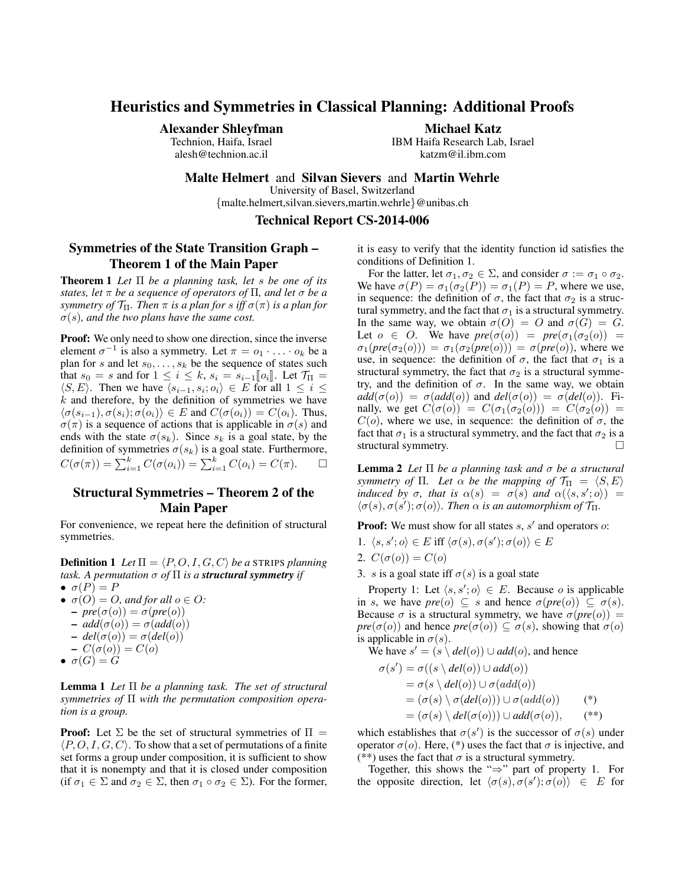# Heuristics and Symmetries in Classical Planning: Additional Proofs

Alexander Shleyfman

Technion, Haifa, Israel alesh@technion.ac.il

Michael Katz

IBM Haifa Research Lab, Israel katzm@il.ibm.com

Malte Helmert and Silvan Sievers and Martin Wehrle

University of Basel, Switzerland

{malte.helmert,silvan.sievers,martin.wehrle}@unibas.ch

Technical Report CS-2014-006

## Symmetries of the State Transition Graph – Theorem 1 of the Main Paper

Theorem 1 *Let* Π *be a planning task, let* s *be one of its states, let* π *be a sequence of operators of* Π*, and let* σ *be a symmetry of*  $\mathcal{T}_{\Pi}$ *. Then*  $\pi$  *is a plan for s iff*  $\sigma(\pi)$  *is a plan for*  $\sigma(s)$ *, and the two plans have the same cost.* 

Proof: We only need to show one direction, since the inverse element  $\sigma^{-1}$  is also a symmetry. Let  $\pi = o_1 \cdot \ldots \cdot o_k$  be a plan for s and let  $s_0, \ldots, s_k$  be the sequence of states such that  $s_0 = s$  and for  $1 \leq i \leq k$ ,  $s_i = s_{i-1}[[o_i]]$ . Let  $\mathcal{T}_{\Pi} =$  $\langle S, E \rangle$ . Then we have  $\langle s_{i-1}, s_i; o_i \rangle \in E$  for all  $1 \leq i \leq$  $k$  and therefore, by the definition of symmetries we have  $\langle \sigma(s_{i-1}), \sigma(s_i); \sigma(o_i) \rangle \in E$  and  $C(\sigma(o_i)) = C(o_i)$ . Thus,  $\sigma(\pi)$  is a sequence of actions that is applicable in  $\sigma(s)$  and ends with the state  $\sigma(s_k)$ . Since  $s_k$  is a goal state, by the definition of symmetries  $\sigma(s_k)$  is a goal state. Furthermore,  $C(\sigma(\pi)) = \sum_{i=1}^{k} C(\sigma(o_i)) = \sum_{i=1}^{k} C(o_i) = C(\pi).$   $\Box$ 

# Structural Symmetries – Theorem 2 of the Main Paper

For convenience, we repeat here the definition of structural symmetries.

**Definition 1** Let  $\Pi = \langle P, O, I, G, C \rangle$  be a STRIPS planning *task.* A permutation  $\sigma$  of  $\Pi$  *is a structural symmetry if*  $\bullet \ \sigma(P) = P$ 

- $\sigma(O) = O$ , and for all  $o \in O$ :  $-\textit{pre}(\sigma(o)) = \sigma(\textit{pre}(o))$  $- add(\sigma(o)) = \sigma(add(o))$  $-\text{del}(\sigma(o)) = \sigma(\text{del}(o))$  $-C(\sigma(o))=C(o)$
- $\bullet \ \sigma(G) = G$

Lemma 1 *Let* Π *be a planning task. The set of structural symmetries of* Π *with the permutation composition operation is a group.*

**Proof:** Let  $\Sigma$  be the set of structural symmetries of  $\Pi$  =  $\langle P, O, I, G, C \rangle$ . To show that a set of permutations of a finite set forms a group under composition, it is sufficient to show that it is nonempty and that it is closed under composition (if  $\sigma_1 \in \Sigma$  and  $\sigma_2 \in \Sigma$ , then  $\sigma_1 \circ \sigma_2 \in \Sigma$ ). For the former,

it is easy to verify that the identity function id satisfies the conditions of Definition 1.

For the latter, let  $\sigma_1, \sigma_2 \in \Sigma$ , and consider  $\sigma := \sigma_1 \circ \sigma_2$ . We have  $\sigma(P) = \sigma_1(\sigma_2(P)) = \sigma_1(P) = P$ , where we use, in sequence: the definition of  $\sigma$ , the fact that  $\sigma_2$  is a structural symmetry, and the fact that  $\sigma_1$  is a structural symmetry. In the same way, we obtain  $\sigma(O) = O$  and  $\sigma(G) = G$ . Let  $o \in O$ . We have  $pre(\sigma(o)) = pre(\sigma_1(\sigma_2(o)) =$  $\sigma_1(\text{pre}(\sigma_2(o))) = \sigma_1(\sigma_2(\text{pre}(o))) = \sigma(\text{pre}(o)),$  where we use, in sequence: the definition of  $\sigma$ , the fact that  $\sigma_1$  is a structural symmetry, the fact that  $\sigma_2$  is a structural symmetry, and the definition of  $\sigma$ . In the same way, we obtain  $add(\sigma(o)) = \sigma(add(o))$  and  $del(\sigma(o)) = \sigma(del(o))$ . Finally, we get  $C(\sigma(o)) = C(\sigma_1(\sigma_2(o))) = C(\sigma_2(o)) =$  $C(o)$ , where we use, in sequence: the definition of  $\sigma$ , the fact that  $\sigma_1$  is a structural symmetry, and the fact that  $\sigma_2$  is a structural symmetry.

Lemma 2 *Let* Π *be a planning task and* σ *be a structural symmetry of*  $\Pi$ *. Let*  $\alpha$  *be the mapping of*  $\mathcal{T}_{\Pi} = \langle S, E \rangle$ *induced by*  $\sigma$ *, that is*  $\alpha(s) = \sigma(s)$  *and*  $\alpha(\langle s, s', o \rangle) =$  $\langle \sigma(s), \sigma(s'); \sigma(o) \rangle$ *. Then*  $\alpha$  *is an automorphism of*  $\mathcal{T}_{\Pi}$ *.* 

**Proof:** We must show for all states  $s$ ,  $s'$  and operators  $o$ :

- 1.  $\langle s, s'; o \rangle \in E$  iff  $\langle \sigma(s), \sigma(s'); \sigma(o) \rangle \in E$
- 2.  $C(\sigma(o)) = C(o)$
- 3. s is a goal state iff  $\sigma(s)$  is a goal state

Property 1: Let  $\langle s, s', o \rangle \in E$ . Because o is applicable in s, we have  $pre(o) \subseteq s$  and hence  $\sigma(pre(o)) \subseteq \sigma(s)$ . Because  $\sigma$  is a structural symmetry, we have  $\sigma(pre(o)) =$ *pre*( $\sigma$ (o)) and hence *pre*( $\sigma$ (o))  $\subseteq \sigma$ (*s*), showing that  $\sigma$ (*o*) is applicable in  $\sigma(s)$ .

We have  $s' = (s \setminus \text{del}(o)) \cup \text{add}(o)$ , and hence

$$
\sigma(s') = \sigma((s \setminus del(o)) \cup add(o))
$$
  
=  $\sigma(s \setminus del(o)) \cup \sigma(add(o))$   
=  $(\sigma(s) \setminus \sigma(del(o))) \cup \sigma(add(o))$  (\*)  
=  $(\sigma(s) \setminus del(\sigma(o))) \cup add(\sigma(o)),$ (\*\*)

which establishes that  $\sigma(s')$  is the successor of  $\sigma(s)$  under operator  $\sigma(o)$ . Here, (\*) uses the fact that  $\sigma$  is injective, and (\*\*) uses the fact that  $\sigma$  is a structural symmetry.

Together, this shows the "⇒" part of property 1. For the opposite direction, let  $\langle \sigma(s), \sigma(s'); \sigma(o) \rangle \in E$  for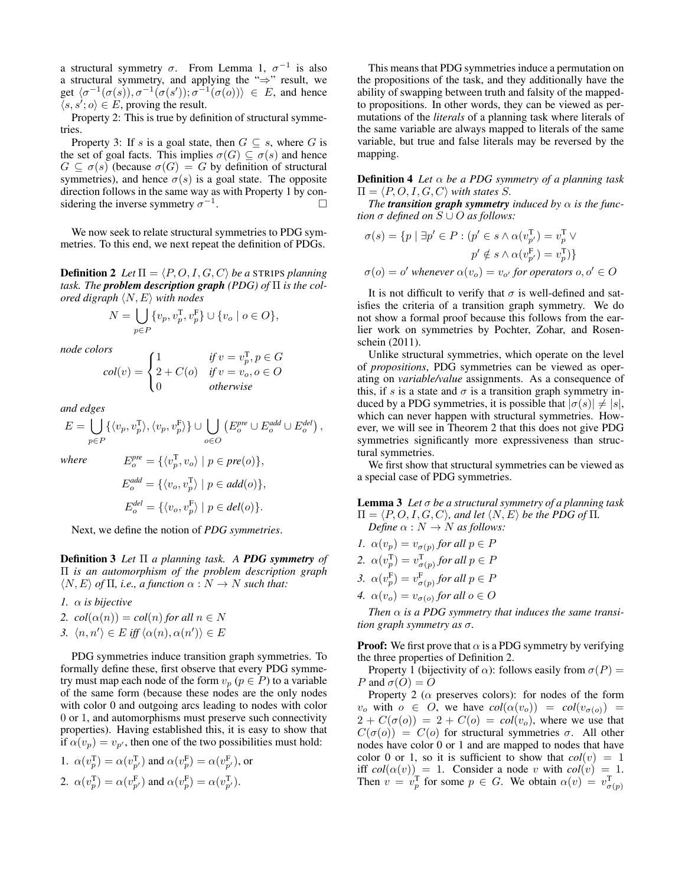a structural symmetry  $\sigma$ . From Lemma 1,  $\sigma^{-1}$  is also a structural symmetry, and applying the "⇒" result, we get  $\langle \sigma^{-1}(\sigma(s)), \sigma^{-1}(\sigma(s')); \sigma^{-1}(\sigma(o)) \rangle \in E$ , and hence  $\langle s, s', o \rangle \in E$ , proving the result.

Property 2: This is true by definition of structural symmetries.

Property 3: If s is a goal state, then  $G \subseteq s$ , where G is the set of goal facts. This implies  $\sigma(G) \subseteq \sigma(s)$  and hence  $G \subseteq \sigma(s)$  (because  $\sigma(G) = G$  by definition of structural symmetries), and hence  $\sigma(s)$  is a goal state. The opposite direction follows in the same way as with Property 1 by considering the inverse symmetry  $\sigma^{-1}$ .

We now seek to relate structural symmetries to PDG symmetries. To this end, we next repeat the definition of PDGs.

**Definition 2** *Let*  $\Pi = \langle P, O, I, G, C \rangle$  *be a* STRIPS *planning task. The problem description graph (PDG) of* Π *is the colored digraph*  $\langle N, E \rangle$  *with nodes* 

$$
N = \bigcup_{p \in P} \{v_p, v_p^{\mathrm{T}}, v_p^{\mathrm{F}}\} \cup \{v_o \mid o \in O\},\
$$

*node colors*

$$
col(v) = \begin{cases} 1 & \text{if } v = v_p^T, p \in G \\ 2 + C(o) & \text{if } v = v_o, o \in O \\ 0 & \text{otherwise} \end{cases}
$$

*and edges*

$$
E = \bigcup_{p \in P} \{ \langle v_p, v_p^{\mathsf{T}} \rangle, \langle v_p, v_p^{\mathsf{F}} \rangle \} \cup \bigcup_{o \in O} \left( E_o^{pre} \cup E_o^{add} \cup E_o^{del} \right),
$$
where 
$$
E_o^{pre} = \{ \langle v_{\mathsf{T}}^{\mathsf{T}} \rangle, \langle v_{\mathsf{T}} \rangle \} \cap \{ \langle v_{\mathsf{T}}^{\mathsf{T}} \rangle \} \cap \{ \langle v_{\mathsf{T}}^{\mathsf{T}} \rangle \} \cap \{ \langle v_{\mathsf{T}}^{\mathsf{T}} \rangle \} \cap \{ \langle v_{\mathsf{T}}^{\mathsf{T}} \rangle \} \cap \{ \langle v_{\mathsf{T}}^{\mathsf{T}} \rangle \} \cap \{ \langle v_{\mathsf{T}}^{\mathsf{T}} \rangle \} \cap \{ \langle v_{\mathsf{T}}^{\mathsf{T}} \rangle \} \cap \{ \langle v_{\mathsf{T}}^{\mathsf{T}} \rangle \} \cap \{ \langle v_{\mathsf{T}}^{\mathsf{T}} \rangle \} \cap \{ \langle v_{\mathsf{T}}^{\mathsf{T}} \rangle \} \cap \{ \langle v_{\mathsf{T}}^{\mathsf{T}} \rangle \} \cap \{ \langle v_{\mathsf{T}}^{\mathsf{T}} \rangle \} \cap \{ \langle v_{\mathsf{T}}^{\mathsf{T}} \rangle \} \cap \{ \langle v_{\mathsf{T}}^{\mathsf{T}} \rangle \} \cap \{ \langle v_{\mathsf{T}}^{\mathsf{T}} \rangle \} \cap \{ \langle v_{\mathsf{T}}^{\mathsf{T}} \rangle \} \cap \{ \langle v_{\mathsf{T}}^{\mathsf{T}} \rangle \} \cap \{ \langle v_{\mathsf{T}}^{\mathsf{T}} \rangle \} \cap \{ \langle v_{\mathsf{T}}^{\mathsf{T}} \rangle \} \cap \{ \langle v_{\mathsf{T}}^{\mathsf{T}} \rangle \} \cap \{ \langle v_{\mathsf{T}}^{\mathsf{T}} \rangle \} \cap \{ \langle v_{\mathsf{T}}^{\mathsf{T}} \rangle \} \cap \{ \langle v_{\mathsf{T}}^{\mathsf{T}} \rangle \} \cap \{ \langle v_{\mathsf{T}}^{\mathsf{T}} \rangle \} \cap \{ \langle v_{\mathsf{T}}^{\mathsf{T}} \rangle \} \cap \{ \langle v_{\mathsf{T}}^{\mathsf{T}} \rangle \} \cap \{ \langle v_{\mathsf{T}}^{\mathsf{T}} \rangle \} \cap \{ \langle
$$

 $where$ 

$$
E_o^{pre} = \{ \langle v_p^{\mathrm{T}}, v_o \rangle \mid p \in pre(o) \},
$$
  
\n
$$
E_o^{add} = \{ \langle v_o, v_p^{\mathrm{T}} \rangle \mid p \in add(o) \},
$$
  
\n
$$
E_o^{del} = \{ \langle v_o, v_p^{\mathrm{F}} \rangle \mid p \in del(o) \}.
$$

Next, we define the notion of *PDG symmetries*.

Definition 3 *Let* Π *a planning task. A PDG symmetry of* Π *is an automorphism of the problem description graph*  $\langle N, E \rangle$  *of*  $\Pi$ *, i.e., a function*  $\alpha : N \to N$  *such that:* 

*1.* α *is bijective*

- 2.  $col(\alpha(n)) = col(n)$  *for all*  $n \in N$
- 3.  $\langle n, n' \rangle \in E$  *iff*  $\langle \alpha(n), \alpha(n') \rangle \in E$

PDG symmetries induce transition graph symmetries. To formally define these, first observe that every PDG symmetry must map each node of the form  $v_p$  ( $p \in P$ ) to a variable of the same form (because these nodes are the only nodes with color 0 and outgoing arcs leading to nodes with color 0 or 1, and automorphisms must preserve such connectivity properties). Having established this, it is easy to show that if  $\alpha(v_p) = v_{p'}$ , then one of the two possibilities must hold:

1. 
$$
\alpha(v_p^{\text{T}}) = \alpha(v_{p'}^{\text{T}})
$$
 and  $\alpha(v_p^{\text{F}}) = \alpha(v_{p'}^{\text{F}})$ , or  
2.  $\alpha(v_p^{\text{T}}) = \alpha(v_{p'}^{\text{F}})$  and  $\alpha(v_p^{\text{F}}) = \alpha(v_{p'}^{\text{T}})$ .

This means that PDG symmetries induce a permutation on the propositions of the task, and they additionally have the ability of swapping between truth and falsity of the mappedto propositions. In other words, they can be viewed as permutations of the *literals* of a planning task where literals of the same variable are always mapped to literals of the same variable, but true and false literals may be reversed by the mapping.

Definition 4 *Let* α *be a PDG symmetry of a planning task*  $\Pi = \langle P, O, I, G, C \rangle$  *with states S.* 

*The transition graph symmetry induced by*  $\alpha$  *is the function*  $\sigma$  *defined on*  $S \cup O$  *as follows:* 

$$
\sigma(s) = \{ p \mid \exists p' \in P : (p' \in s \land \alpha(v_{p'}^T) = v_p^T \lor p' \notin s \land \alpha(v_{p'}^F) = v_p^T) \}
$$

$$
\sigma(o) = o' \text{ whenever } \alpha(v_o) = v_{o'} \text{ for operators } o, o' \in O
$$

It is not difficult to verify that  $\sigma$  is well-defined and satisfies the criteria of a transition graph symmetry. We do not show a formal proof because this follows from the earlier work on symmetries by Pochter, Zohar, and Rosenschein (2011).

Unlike structural symmetries, which operate on the level of *propositions*, PDG symmetries can be viewed as operating on *variable/value* assignments. As a consequence of this, if s is a state and  $\sigma$  is a transition graph symmetry induced by a PDG symmetries, it is possible that  $|\sigma(s)| \neq |s|$ , which can never happen with structural symmetries. However, we will see in Theorem 2 that this does not give PDG symmetries significantly more expressiveness than structural symmetries.

We first show that structural symmetries can be viewed as a special case of PDG symmetries.

Lemma 3 *Let* σ *be a structural symmetry of a planning task*  $\Pi = \langle P, O, I, G, C \rangle$ *, and let*  $\langle N, E \rangle$  *be the PDG of*  $\Pi$ *. Define*  $\alpha : N \to N$  *as follows:* 

- *1.*  $\alpha(v_p) = v_{\sigma(p)}$  for all  $p \in P$
- 2.  $\alpha(v_p^{\mathsf{T}}) = v_{\sigma(p)}^{\mathsf{T}}$  for all  $p \in P$
- 3.  $\alpha(v_p^{\text{F}}) = v_{\sigma(p)}^{\text{F}}$  for all  $p \in P$
- 4.  $\alpha(v_o) = v_{\sigma(o)}$  for all  $o \in O$

*Then*  $\alpha$  *is a PDG symmetry that induces the same transition graph symmetry as* σ*.*

**Proof:** We first prove that  $\alpha$  is a PDG symmetry by verifying the three properties of Definition 2.

Property 1 (bijectivity of  $\alpha$ ): follows easily from  $\sigma(P)$  = P and  $\sigma(O) = O$ 

Property 2 ( $\alpha$  preserves colors): for nodes of the form  $v_o$  with  $o \in O$ , we have  $col(\alpha(v_o)) = col(v_{\sigma(o)})$  $2 + C(\sigma(o)) = 2 + C(o) = col(v<sub>o</sub>)$ , where we use that  $C(\sigma(o)) = C(o)$  for structural symmetries  $\sigma$ . All other nodes have color 0 or 1 and are mapped to nodes that have color 0 or 1, so it is sufficient to show that  $col(v) = 1$ iff  $col(\alpha(v)) = 1$ . Consider a node v with  $col(v) = 1$ . Then  $v = v_p^T$  for some  $p \in G$ . We obtain  $\alpha(v) = v_{\sigma(p)}^T$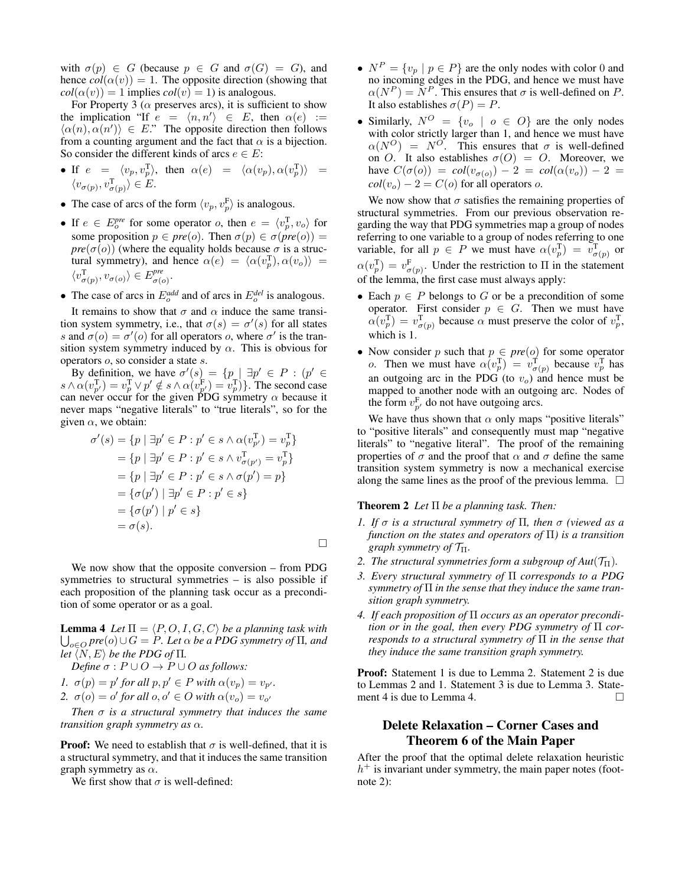with  $\sigma(p) \in G$  (because  $p \in G$  and  $\sigma(G) = G$ ), and hence  $col(\alpha(v)) = 1$ . The opposite direction (showing that  $col(\alpha(v)) = 1$  implies  $col(v) = 1$ ) is analogous.

For Property 3 ( $\alpha$  preserves arcs), it is sufficient to show the implication "If  $e = \langle n, n' \rangle \in E$ , then  $\alpha(e) :=$  $\langle \alpha(n), \alpha(n') \rangle \in E$ ." The opposite direction then follows from a counting argument and the fact that  $\alpha$  is a bijection. So consider the different kinds of arcs  $e \in E$ :

- If  $e = \langle v_p, v_p^{\text{T}} \rangle$ , then  $\alpha(e) = \langle \alpha(v_p), \alpha(v_p^{\text{T}}) \rangle =$  $\langle v_{\sigma(p)}, v_{\sigma(p)}^{\mathrm{T}} \rangle \in E.$
- The case of arcs of the form  $\langle v_p, v_p^F \rangle$  is analogous.
- If  $e \in E_o^{pre}$  for some operator *o*, then  $e = \langle v_p^T, v_o \rangle$  for some proposition  $p \in pre(o)$ . Then  $\sigma(p) \in \sigma (pre(o))$ *pre*( $\sigma$ ( $o$ )) (where the equality holds because  $\sigma$  is a structural symmetry), and hence  $\alpha(e) = \langle \alpha(v_p^T), \alpha(v_o) \rangle =$  $\langle v_{\sigma(p)}^{\mathrm{T}}, v_{\sigma(o)} \rangle \in E_{\sigma(q)}^{pre}$  $_{σ(o)}.$
- The case of arcs in  $E_o^{add}$  and of arcs in  $E_o^{del}$  is analogous.

It remains to show that  $\sigma$  and  $\alpha$  induce the same transition system symmetry, i.e., that  $\sigma(s) = \sigma'(s)$  for all states s and  $\sigma$ ( $o$ ) =  $\sigma'$ ( $o$ ) for all operators  $o$ , where  $\sigma'$  is the transition system symmetry induced by  $\alpha$ . This is obvious for operators o, so consider a state s.

By definition, we have  $\sigma'(s) = \{p \mid \exists p' \in P : (p' \in P)\}$  $s \wedge \alpha(v_{p'}^T) = v_p^T \vee p' \notin s \wedge \alpha(v_{p'}^F) = v_p^T$ }. The second case can never occur for the given PDG symmetry  $\alpha$  because it never maps "negative literals" to "true literals", so for the given  $\alpha$ , we obtain:

$$
\sigma'(s) = \{p \mid \exists p' \in P : p' \in s \land \alpha(v_{p'}^{\mathrm{T}}) = v_p^{\mathrm{T}}\}
$$
  
\n
$$
= \{p \mid \exists p' \in P : p' \in s \land v_{\sigma(p')}^{\mathrm{T}} = v_p^{\mathrm{T}}\}
$$
  
\n
$$
= \{p \mid \exists p' \in P : p' \in s \land \sigma(p') = p\}
$$
  
\n
$$
= \{\sigma(p') \mid \exists p' \in P : p' \in s\}
$$
  
\n
$$
= \{\sigma(p') \mid p' \in s\}
$$
  
\n
$$
= \sigma(s).
$$

 $\Box$ 

We now show that the opposite conversion – from PDG symmetries to structural symmetries – is also possible if each proposition of the planning task occur as a precondition of some operator or as a goal.

 $\bigcup_{o \in O} \textit{pre}(o) \cup G = P$ *. Let*  $\alpha$  *be a PDG symmetry of*  $\Pi$ *, and* **Lemma 4** *Let*  $\Pi = \langle P, O, I, G, C \rangle$  *be a planning task with let*  $\langle N, E \rangle$  *be the PDG of*  $\Pi$ *.* 

*Define*  $\sigma$  :  $P \cup O \rightarrow P \cup O$  *as follows:* 

- *1.*  $\sigma(p) = p'$  for all  $p, p' \in P$  with  $\alpha(v_p) = v_{p'}$ .
- 2.  $\sigma(o) = o'$  for all  $o, o' \in O$  with  $\alpha(v_o) = v_{o'}$

*Then* σ *is a structural symmetry that induces the same transition graph symmetry as* α*.*

**Proof:** We need to establish that  $\sigma$  is well-defined, that it is a structural symmetry, and that it induces the same transition graph symmetry as  $\alpha$ .

We first show that  $\sigma$  is well-defined:

- $N^P = \{v_p \mid p \in P\}$  are the only nodes with color 0 and no incoming edges in the PDG, and hence we must have  $\alpha(N^P) = N^P$ . This ensures that  $\sigma$  is well-defined on P. It also establishes  $\sigma(P) = P$ .
- Similarly,  $N^O = \{v_o \mid o \in O\}$  are the only nodes with color strictly larger than 1, and hence we must have  $\alpha(N^O)$  =  $N^O$ . This ensures that  $\sigma$  is well-defined on O. It also establishes  $\sigma(O) = O$ . Moreover, we have  $C(\sigma(o)) = col(v_{\sigma(o)}) - 2 = col(\alpha(v_o)) - 2 =$  $col(v<sub>o</sub>) - 2 = C(o)$  for all operators *o*.

We now show that  $\sigma$  satisfies the remaining properties of structural symmetries. From our previous observation regarding the way that PDG symmetries map a group of nodes referring to one variable to a group of nodes referring to one variable, for all  $p \in P$  we must have  $\alpha(v_p^T) = v_{\sigma(p)}^T$  or  $\alpha(v_p^{\text{T}}) = v_{\sigma(p)}^{\text{F}}$ . Under the restriction to  $\Pi$  in the statement of the lemma, the first case must always apply:

- Each  $p \in P$  belongs to G or be a precondition of some operator. First consider  $p \in G$ . Then we must have  $\alpha(v_p^{\text{T}}) = v_{\sigma(p)}^{\text{T}}$  because  $\alpha$  must preserve the color of  $v_p^{\text{T}}$ , which is 1.
- Now consider p such that  $p \in pre(o)$  for some operator *o*. Then we must have  $\alpha(v_p^T) = v_{\sigma(p)}^T$  because  $v_p^T$  has an outgoing arc in the PDG (to  $v<sub>o</sub>$ ) and hence must be mapped to another node with an outgoing arc. Nodes of the form  $v_{p}^{F}$  do not have outgoing arcs.

We have thus shown that  $\alpha$  only maps "positive literals" to "positive literals" and consequently must map "negative literals" to "negative literal". The proof of the remaining properties of  $\sigma$  and the proof that  $\alpha$  and  $\sigma$  define the same transition system symmetry is now a mechanical exercise along the same lines as the proof of the previous lemma.  $\Box$ 

#### Theorem 2 *Let* Π *be a planning task. Then:*

- *1. If* σ *is a structural symmetry of* Π*, then* σ *(viewed as a function on the states and operators of* Π*) is a transition graph symmetry of* TΠ*.*
- *2. The structural symmetries form a subgroup of Aut* $(\mathcal{T}_{\Pi})$ *.*
- *3. Every structural symmetry of* Π *corresponds to a PDG symmetry of* Π *in the sense that they induce the same transition graph symmetry.*
- *4. If each proposition of* Π *occurs as an operator precondition or in the goal, then every PDG symmetry of* Π *corresponds to a structural symmetry of* Π *in the sense that they induce the same transition graph symmetry.*

Proof: Statement 1 is due to Lemma 2. Statement 2 is due to Lemmas 2 and 1. Statement 3 is due to Lemma 3. Statement 4 is due to Lemma 4.

## Delete Relaxation – Corner Cases and Theorem 6 of the Main Paper

After the proof that the optimal delete relaxation heuristic  $h<sup>+</sup>$  is invariant under symmetry, the main paper notes (footnote 2):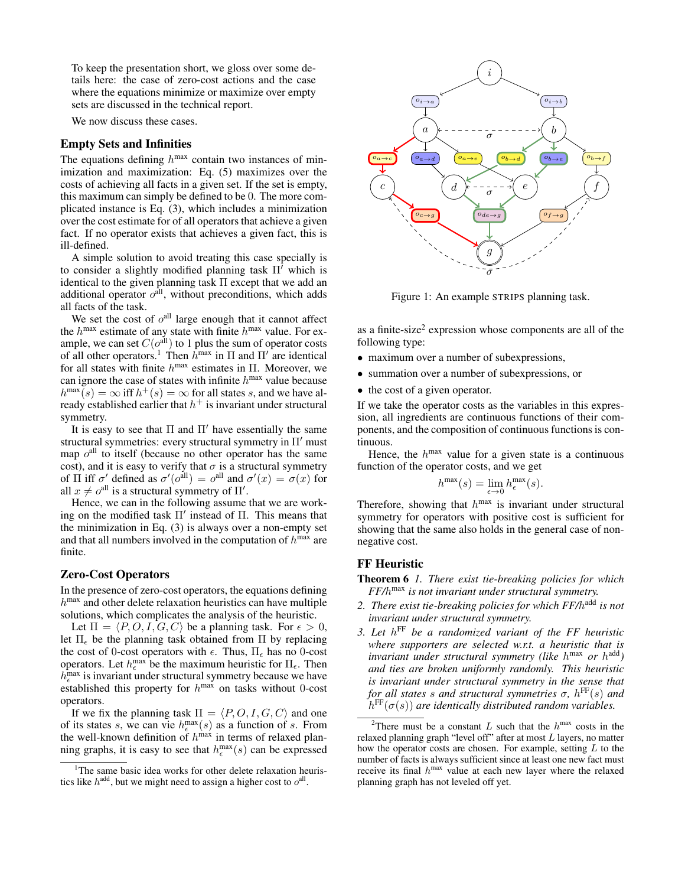To keep the presentation short, we gloss over some details here: the case of zero-cost actions and the case where the equations minimize or maximize over empty sets are discussed in the technical report.

We now discuss these cases.

### Empty Sets and Infinities

The equations defining  $h^{\text{max}}$  contain two instances of minimization and maximization: Eq. (5) maximizes over the costs of achieving all facts in a given set. If the set is empty, this maximum can simply be defined to be 0. The more complicated instance is Eq. (3), which includes a minimization over the cost estimate for of all operators that achieve a given fact. If no operator exists that achieves a given fact, this is ill-defined.

A simple solution to avoid treating this case specially is to consider a slightly modified planning task  $\Pi^{\dagger}$  which is identical to the given planning task Π except that we add an additional operator  $o<sup>all</sup>$ , without preconditions, which adds all facts of the task.

We set the cost of  $o<sup>all</sup>$  large enough that it cannot affect the  $h^{\text{max}}$  estimate of any state with finite  $h^{\text{max}}$  value. For example, we can set  $C(o^{all})$  to 1 plus the sum of operator costs of all other operators.<sup>1</sup> Then  $\hat{h}^{\text{max}}$  in  $\Pi$  and  $\Pi'$  are identical for all states with finite  $h^{\text{max}}$  estimates in  $\Pi$ . Moreover, we can ignore the case of states with infinite  $h^{\text{max}}$  value because  $h^{\max}(s) = \infty$  iff  $h^+(s) = \infty$  for all states s, and we have already established earlier that  $h^+$  is invariant under structural symmetry.

It is easy to see that  $\Pi$  and  $\Pi'$  have essentially the same structural symmetries: every structural symmetry in  $\Pi'$  must map  $o<sup>all</sup>$  to itself (because no other operator has the same cost), and it is easy to verify that  $\sigma$  is a structural symmetry of  $\Pi$  iff  $\sigma'$  defined as  $\sigma'(o^{\text{all}}) = o^{\text{all}}$  and  $\sigma'(x) = \sigma(x)$  for all  $x \neq o^{\text{all}}$  is a structural symmetry of  $\Pi'$ .

Hence, we can in the following assume that we are working on the modified task  $\Pi'$  instead of  $\Pi$ . This means that the minimization in Eq. (3) is always over a non-empty set and that all numbers involved in the computation of  $h^{\text{max}}$  are finite.

#### Zero-Cost Operators

In the presence of zero-cost operators, the equations defining  $h^{\text{max}}$  and other delete relaxation heuristics can have multiple solutions, which complicates the analysis of the heuristic.

Let  $\Pi = \langle P, O, I, G, C \rangle$  be a planning task. For  $\epsilon > 0$ , let  $\Pi_{\epsilon}$  be the planning task obtained from  $\Pi$  by replacing the cost of 0-cost operators with  $\epsilon$ . Thus,  $\Pi_{\epsilon}$  has no 0-cost operators. Let  $h_{\epsilon}^{\max}$  be the maximum heuristic for  $\Pi_{\epsilon}$ . Then  $h_{\epsilon}^{\text{max}}$  is invariant under structural symmetry because we have established this property for  $h^{\text{max}}$  on tasks without 0-cost operators.

If we fix the planning task  $\Pi = \langle P, O, I, G, C \rangle$  and one of its states s, we can vie  $h_{\epsilon}^{\max}(s)$  as a function of s. From the well-known definition of  $h^{\text{max}}$  in terms of relaxed planning graphs, it is easy to see that  $h_{\epsilon}^{\max}(s)$  can be expressed



Figure 1: An example STRIPS planning task.

as a finite-size<sup>2</sup> expression whose components are all of the following type:

- maximum over a number of subexpressions,
- summation over a number of subexpressions, or
- the cost of a given operator.

If we take the operator costs as the variables in this expression, all ingredients are continuous functions of their components, and the composition of continuous functions is continuous.

Hence, the  $h^{\text{max}}$  value for a given state is a continuous function of the operator costs, and we get

$$
h^{\max}(s) = \lim_{\epsilon \to 0} h_{\epsilon}^{\max}(s).
$$

Therefore, showing that  $h^{\text{max}}$  is invariant under structural symmetry for operators with positive cost is sufficient for showing that the same also holds in the general case of nonnegative cost.

#### FF Heuristic

- Theorem 6 *1. There exist tie-breaking policies for which FF/*h max *is not invariant under structural symmetry.*
- *2. There exist tie-breaking policies for which FF/*h add *is not invariant under structural symmetry.*
- *3. Let* h FF *be a randomized variant of the FF heuristic where supporters are selected w.r.t. a heuristic that is invariant under structural symmetry (like* h max *or* h add*) and ties are broken uniformly randomly. This heuristic is invariant under structural symmetry in the sense that for all states* s *and structural symmetries* σ*,* h FF(s) *and*  $h^{\text{FF}}(\sigma(s))$  are identically distributed random variables.

<sup>&</sup>lt;sup>1</sup>The same basic idea works for other delete relaxation heuristics like  $h^{\text{add}}$ , but we might need to assign a higher cost to  $o^{\text{all}}$ .

<sup>&</sup>lt;sup>2</sup>There must be a constant L such that the  $h^{max}$  costs in the relaxed planning graph "level off" after at most  $L$  layers, no matter how the operator costs are chosen. For example, setting  $L$  to the number of facts is always sufficient since at least one new fact must receive its final  $h^{max}$  value at each new layer where the relaxed planning graph has not leveled off yet.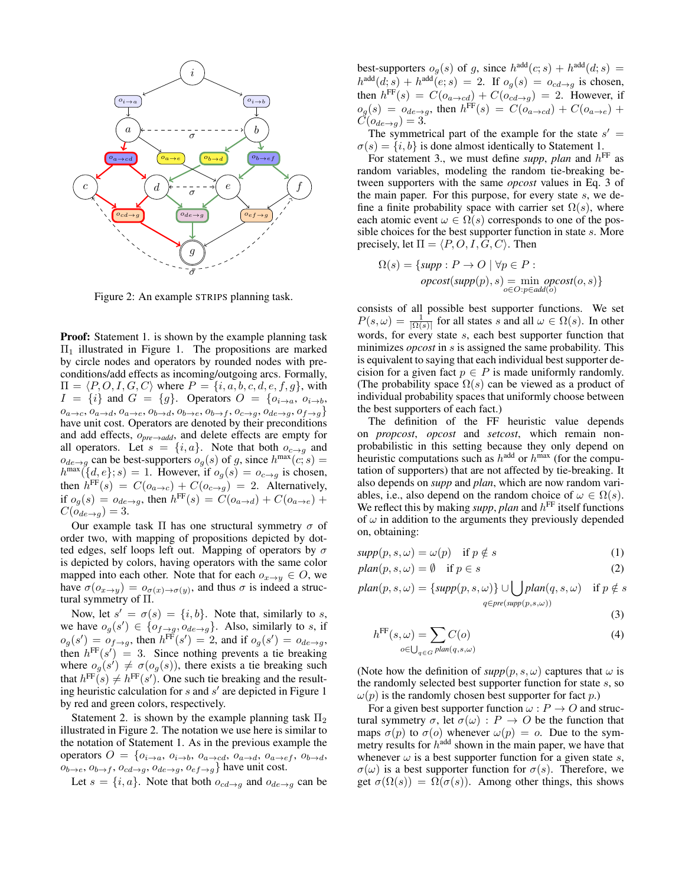

Figure 2: An example STRIPS planning task.

**Proof:** Statement 1. is shown by the example planning task  $\Pi_1$  illustrated in Figure 1. The propositions are marked by circle nodes and operators by rounded nodes with preconditions/add effects as incoming/outgoing arcs. Formally,  $\Pi = \langle P, O, I, G, C \rangle$  where  $P = \{i, a, b, c, d, e, f, g\}$ , with  $I = \{i\}$  and  $G = \{g\}$ . Operators  $O = \{o_{i \to a}, o_{i \to b}, o_{i \to b}\}$  $o_{a\rightarrow c}, o_{a\rightarrow d}, o_{a\rightarrow e}, o_{b\rightarrow d}, o_{b\rightarrow e}, o_{b\rightarrow f}, o_{c\rightarrow g}, o_{de\rightarrow g}, o_{f\rightarrow g}\}$ have unit cost. Operators are denoted by their preconditions and add effects, o*pre*→*add*, and delete effects are empty for all operators. Let  $s = \{i, a\}$ . Note that both  $o_{c \to q}$  and  $o_{de\rightarrow g}$  can be best-supporters  $o_g(s)$  of g, since  $h^{\max}(c; s)$  =  $h^{\max}(\lbrace d, e \rbrace; s) = 1$ . However, if  $o_g(s) = o_{c \to g}$  is chosen, then  $h^{\text{FF}}(s) = C(o_{a \to c}) + C(o_{c \to g}) = 2$ . Alternatively, if  $o_g(s) = o_{de \to g}$ , then  $h^{\text{FF}}(s) = C(o_{a \to d}) + C(o_{a \to e})$  +  $C(o_{de\rightarrow q}) = 3.$ 

Our example task Π has one structural symmetry  $σ$  of order two, with mapping of propositions depicted by dotted edges, self loops left out. Mapping of operators by  $\sigma$ is depicted by colors, having operators with the same color mapped into each other. Note that for each  $o_{x\to y} \in O$ , we have  $\sigma(o_{x\to y}) = o_{\sigma(x)\to\sigma(y)}$ , and thus  $\sigma$  is indeed a structural symmetry of Π.

Now, let  $s' = \sigma(s) = \{i, b\}$ . Note that, similarly to s, we have  $o_g(s') \in \{o_{f\rightarrow g}, o_{de\rightarrow g}\}.$  Also, similarly to s, if  $o_g(s') = o_{f \to g}$ , then  $h^{\text{FF}}(s') = 2$ , and if  $o_g(s') = o_{de \to g}$ , then  $h^{\text{FF}}(s') = 3$ . Since nothing prevents a tie breaking where  $o_g(s') \neq \sigma(o_g(s))$ , there exists a tie breaking such that  $h^{\text{FF}}(s) \neq h^{\text{FF}}(s')$ . One such tie breaking and the resulting heuristic calculation for  $s$  and  $s'$  are depicted in Figure 1 by red and green colors, respectively.

Statement 2. is shown by the example planning task  $\Pi_2$ illustrated in Figure 2. The notation we use here is similar to the notation of Statement 1. As in the previous example the operators  $O = \{o_{i\rightarrow a}, o_{i\rightarrow b}, o_{a\rightarrow cd}, o_{a\rightarrow d}, o_{a\rightarrow ef}, o_{b\rightarrow d}, o_{b\rightarrow d}\}$  $o_{b\rightarrow e}$ ,  $o_{b\rightarrow f}$ ,  $o_{cd\rightarrow g}$ ,  $o_{de\rightarrow g}$ ,  $o_{ef\rightarrow g}$ } have unit cost.

Let  $s = \{i, a\}$ . Note that both  $o_{cd\rightarrow q}$  and  $o_{de\rightarrow q}$  can be

best-supporters  $o_g(s)$  of g, since  $h^{\text{add}}(c; s) + h^{\text{add}}(d; s) =$  $h^{\text{add}}(d; s) + h^{\text{add}}(e; s) = 2$ . If  $o_g(s) = o_{cd \to g}$  is chosen, then  $h^{\text{FF}}(s) = C(o_{a \to cd}) + C(o_{cd \to g}) = 2$ . However, if  $o_g(s) = o_{de\rightarrow g}$ , then  $h^{\text{FF}}(s) = C(o_{a\rightarrow cd}) + C(o_{a\rightarrow e}) +$  $C(o_{de\rightarrow g}) = 3.$ 

The symmetrical part of the example for the state  $s' =$  $\sigma(s) = \{i, b\}$  is done almost identically to Statement 1.

For statement 3., we must define *supp*, *plan* and  $h^{\text{FF}}$  as random variables, modeling the random tie-breaking between supporters with the same *opcost* values in Eq. 3 of the main paper. For this purpose, for every state s, we define a finite probability space with carrier set  $\Omega(s)$ , where each atomic event  $\omega \in \Omega(s)$  corresponds to one of the possible choices for the best supporter function in state s. More precisely, let  $\Pi = \langle P, O, I, G, C \rangle$ . Then

$$
\Omega(s) = \{ \text{supp} : P \to O \mid \forall p \in P : \newline \text{opcost}(\text{supp}(p), s) = \min_{o \in O : p \in \text{add}(o)} \text{opcost}(o, s) \}
$$

consists of all possible best supporter functions. We set  $P(s,\omega) = \frac{1}{\Omega(s)}$  for all states s and all  $\omega \in \Omega(s)$ . In other words, for every state s, each best supporter function that minimizes *opcost* in s is assigned the same probability. This is equivalent to saying that each individual best supporter decision for a given fact  $p \in P$  is made uniformly randomly. (The probability space  $\Omega(s)$  can be viewed as a product of individual probability spaces that uniformly choose between the best supporters of each fact.)

The definition of the FF heuristic value depends on *propcost*, *opcost* and *setcost*, which remain nonprobabilistic in this setting because they only depend on heuristic computations such as  $h^{\text{add}}$  or  $h^{\text{max}}$  (for the computation of supporters) that are not affected by tie-breaking. It also depends on *supp* and *plan*, which are now random variables, i.e., also depend on the random choice of  $\omega \in \Omega(s)$ . We reflect this by making *supp*, *plan* and  $h^{\text{FF}}$  itself functions of  $\omega$  in addition to the arguments they previously depended on, obtaining:

$$
supp(p, s, \omega) = \omega(p) \quad \text{if } p \notin s \tag{1}
$$

$$
plan(p, s, \omega) = \emptyset \quad \text{if } p \in s \tag{2}
$$

 $plan(p, s, \omega) = \{ supp(p, s, \omega) \} \cup \bigcup plan(q, s, \omega)$  if  $p \notin s$  $q \in pre(supp(p, s, \omega))$ 

$$
(\mathbf{3})
$$

$$
h^{\text{FF}}(s,\omega) = \sum_{o \in \bigcup_{q \in G} plan(q,s,\omega)} C(o)
$$
 (4)

(Note how the definition of  $supp(p, s, \omega)$  captures that  $\omega$  is the randomly selected best supporter function for state s, so  $\omega(p)$  is the randomly chosen best supporter for fact p.)

For a given best supporter function  $\omega$ :  $P \rightarrow O$  and structural symmetry  $\sigma$ , let  $\sigma(\omega) : P \to O$  be the function that maps  $\sigma(p)$  to  $\sigma(o)$  whenever  $\omega(p) = o$ . Due to the symmetry results for  $h^{\text{add}}$  shown in the main paper, we have that whenever  $\omega$  is a best supporter function for a given state s,  $\sigma(\omega)$  is a best supporter function for  $\sigma(s)$ . Therefore, we get  $\sigma(\Omega(s)) = \Omega(\sigma(s))$ . Among other things, this shows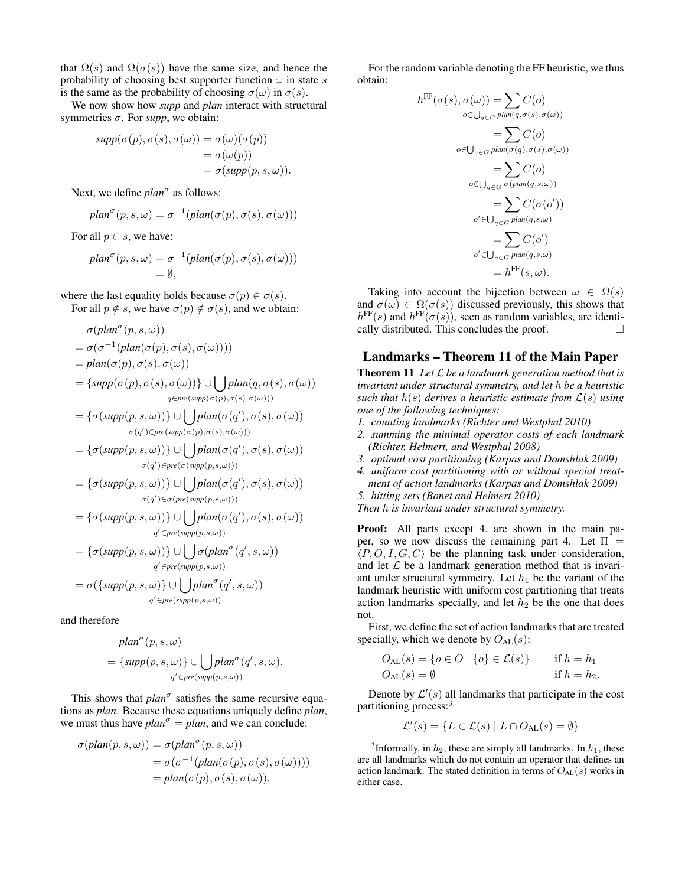that  $\Omega(s)$  and  $\Omega(\sigma(s))$  have the same size, and hence the probability of choosing best supporter function  $\omega$  in state s is the same as the probability of choosing  $\sigma(\omega)$  in  $\sigma(s)$ .

We now show how *supp* and *plan* interact with structural symmetries  $\sigma$ . For *supp*, we obtain:

$$
supp(\sigma(p), \sigma(s), \sigma(\omega)) = \sigma(\omega)(\sigma(p))
$$
  
=  $\sigma(\omega(p))$   
=  $\sigma(supp(p, s, \omega)).$ 

Next, we define *plan<sup>o</sup>* as follows:

$$
plan^{\sigma}(p, s, \omega) = \sigma^{-1}(plan(\sigma(p), \sigma(s), \sigma(\omega)))
$$

For all  $p \in s$ , we have:

$$
plan^{\sigma}(p, s, \omega) = \sigma^{-1}(plan(\sigma(p), \sigma(s), \sigma(\omega)))
$$
  
=  $\emptyset$ ,

where the last equality holds because  $\sigma(p) \in \sigma(s)$ . For all  $p \notin s$ , we have  $\sigma(p) \notin \sigma(s)$ , and we obtain:

$$
\sigma(\text{plan}^{\sigma}(p, s, \omega))
$$

$$
= \sigma(\sigma^{-1}(plan(\sigma(p), \sigma(s), \sigma(\omega))))
$$
  
=  $plan(\sigma(p), \sigma(s), \sigma(\omega))$   
= { $supp(\sigma(p), \sigma(s), \sigma(\omega))$ }  $\cup \bigcup_{q \in pre(supp(\sigma(p), \sigma(s), \sigma(\omega)))}$ 

$$
= \{\sigma(supp(p, s, \omega))\} \cup \bigcup plan(\sigma(q'), \sigma(s), \sigma(\omega))
$$
  

$$
\sigma(q') \in pre(supp(\sigma(p), \sigma(s), \sigma(\omega)))
$$

$$
= \{\sigma(supp(p, s, \omega))\} \cup \bigcup plan(\sigma(q'), \sigma(s), \sigma(\omega))
$$

$$
\sigma(q') \in pre(\sigma(supp(p, s, \omega)))
$$

$$
= \{\sigma(supp(p, s, \omega))\} \cup \bigcup_{\sigma(q') \in \sigma(pre(supp(p, s, \omega)))} plan(\sigma(q'), \sigma(s), \sigma(\omega))
$$

$$
= \{\sigma(supp(p, s, \omega))\} \cup \bigcup plan(\sigma(q'), \sigma(s), \sigma(\omega))
$$
  
  $q' \in pre(supp(p, s, \omega))$ 

$$
= \{\sigma(supp(p, s, \omega))\} \cup \bigcup_{q' \in pre(supp(p, s, \omega))} \sigma(plan^{\sigma}(q', s, \omega))
$$

$$
= \sigma(\{supp(p, s, \omega)\} \cup \bigcup_{p} plan^{\sigma}(q', s, \omega))
$$

$$
q' \in pre(supp(p, s, \omega))
$$
  
q'  $\in pre(supp(p, s, \omega))$ 

and therefore

$$
plan^{\sigma}(p, s, \omega)
$$
  
= { $supp(p, s, \omega)$ }  $\cup \bigcup plan^{\sigma}(q', s, \omega)$ .  
 $q' \in pre(supp(p, s, \omega))$ 

This shows that  $plan^{\sigma}$  satisfies the same recursive equations as *plan*. Because these equations uniquely define *plan*, we must thus have  $plan^{\sigma} = plan$ , and we can conclude:

$$
\sigma(plan(p, s, \omega)) = \sigma(plan^{\sigma}(p, s, \omega))
$$
  
=  $\sigma(\sigma^{-1}(plan(\sigma(p), \sigma(s), \sigma(\omega))))$   
=  $plan(\sigma(p), \sigma(s), \sigma(\omega)).$ 

For the random variable denoting the FF heuristic, we thus obtain:

$$
h^{\text{FF}}(\sigma(s), \sigma(\omega)) = \sum_{o \in \bigcup_{q \in G} plan(q, \sigma(s), \sigma(\omega))} C(o)
$$
  
\n
$$
= \sum_{o \in \bigcup_{q \in G} plan(\sigma(q), \sigma(s), \sigma(\omega))} C(o)
$$
  
\n
$$
= \sum_{o \in \bigcup_{q \in G} \sigma(plan(q, s, \omega))} C(o)
$$
  
\n
$$
= \sum_{o' \in \bigcup_{q \in G} plan(q, s, \omega)}
$$
  
\n
$$
= \sum_{o' \in \bigcup_{q \in G} plan(q, s, \omega)}
$$
  
\n
$$
= \sum_{o' \in \bigcup_{q \in G} plan(q, s, \omega)}
$$
  
\n
$$
= h^{\text{FF}}(s, \omega).
$$

Taking into account the bijection between  $\omega \in \Omega(s)$ and  $\sigma(\omega) \in \Omega(\sigma(s))$  discussed previously, this shows that  $h^{\text{FF}}(s)$  and  $h^{\text{FF}}(\sigma(s))$ , seen as random variables, are identically distributed. This concludes the proof.  $\Box$ 

### Landmarks – Theorem 11 of the Main Paper

Theorem 11 *Let* L *be a landmark generation method that is invariant under structural symmetry, and let* h *be a heuristic such that*  $h(s)$  *derives a heuristic estimate from*  $\mathcal{L}(s)$  *using one of the following techniques:*

- *1. counting landmarks (Richter and Westphal 2010)*
- *2. summing the minimal operator costs of each landmark (Richter, Helmert, and Westphal 2008)*
- *3. optimal cost partitioning (Karpas and Domshlak 2009)*
- *4. uniform cost partitioning with or without special treatment of action landmarks (Karpas and Domshlak 2009)*
- *5. hitting sets (Bonet and Helmert 2010)*

*Then* h *is invariant under structural symmetry.*

Proof: All parts except 4. are shown in the main paper, so we now discuss the remaining part 4. Let  $\Pi$  =  $\langle P, O, I, G, C \rangle$  be the planning task under consideration, and let  $\mathcal L$  be a landmark generation method that is invariant under structural symmetry. Let  $h_1$  be the variant of the landmark heuristic with uniform cost partitioning that treats action landmarks specially, and let  $h_2$  be the one that does not.

First, we define the set of action landmarks that are treated specially, which we denote by  $O_{AL}(s)$ :

$$
O_{\mathrm{AL}}(s) = \{ o \in O \mid \{ o \} \in \mathcal{L}(s) \} \quad \text{if } h = h_1
$$
  

$$
O_{\mathrm{AL}}(s) = \emptyset \quad \text{if } h = h_2.
$$

Denote by  $\mathcal{L}'(s)$  all landmarks that participate in the cost partitioning process:<sup>3</sup>

$$
\mathcal{L}'(s) = \{ L \in \mathcal{L}(s) \mid L \cap O_{\mathrm{AL}}(s) = \emptyset \}
$$

<sup>&</sup>lt;sup>3</sup>Informally, in  $h_2$ , these are simply all landmarks. In  $h_1$ , these are all landmarks which do not contain an operator that defines an action landmark. The stated definition in terms of  $O_{AL}(s)$  works in either case.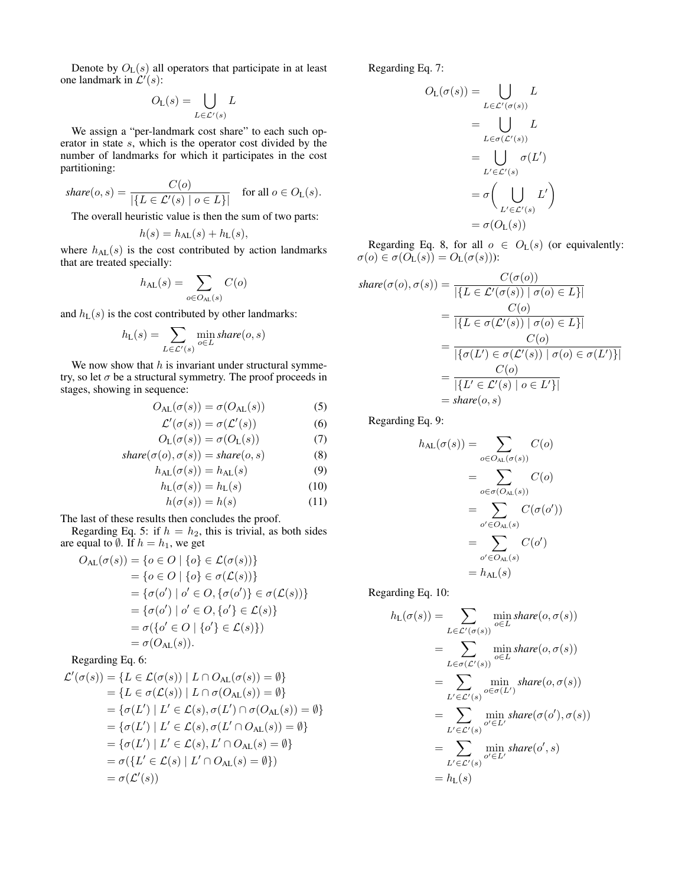Denote by  $O_{L}(s)$  all operators that participate in at least one landmark in  $\mathcal{L}'(s)$ :

$$
O_{\mathcal{L}}(s) = \bigcup_{L \in \mathcal{L}'(s)} L
$$

We assign a "per-landmark cost share" to each such operator in state s, which is the operator cost divided by the number of landmarks for which it participates in the cost partitioning:

$$
share(o, s) = \frac{C(o)}{|\{L \in \mathcal{L}'(s) \mid o \in L\}|} \quad \text{for all } o \in O_{L}(s).
$$

The overall heuristic value is then the sum of two parts:

$$
h(s) = h_{\mathrm{AL}}(s) + h_{\mathrm{L}}(s),
$$

where  $h_{AL}(s)$  is the cost contributed by action landmarks that are treated specially:

$$
h_{\mathrm{AL}}(s) = \sum_{o \in O_{\mathrm{AL}}(s)} C(o)
$$

and  $h_L(s)$  is the cost contributed by other landmarks:

$$
h_{\mathrm{L}}(s) = \sum_{L \in \mathcal{L}'(s)} \min_{o \in L} share(o, s)
$$

We now show that  $h$  is invariant under structural symmetry, so let  $\sigma$  be a structural symmetry. The proof proceeds in stages, showing in sequence:

$$
O_{\mathrm{AL}}(\sigma(s)) = \sigma(O_{\mathrm{AL}}(s))\tag{5}
$$

$$
\mathcal{L}'(\sigma(s)) = \sigma(\mathcal{L}'(s))\tag{6}
$$

$$
O_{\mathcal{L}}(\sigma(s)) = \sigma(O_{\mathcal{L}}(s))\tag{7}
$$

$$
share(\sigma(o), \sigma(s)) = share(o, s)
$$
\n(8)

$$
h_{\mathrm{AL}}(\sigma(s)) = h_{\mathrm{AL}}(s) \tag{9}
$$

$$
h_{\mathcal{L}}(\sigma(s)) = h_{\mathcal{L}}(s) \tag{10}
$$

$$
h(\sigma(s)) = h(s) \tag{11}
$$

The last of these results then concludes the proof.

Regarding Eq. 5: if  $h = h_2$ , this is trivial, as both sides are equal to  $\emptyset$ . If  $h = h_1$ , we get

$$
O_{\mathrm{AL}}(\sigma(s)) = \{o \in O \mid \{o\} \in \mathcal{L}(\sigma(s))\}
$$
  
\n
$$
= \{o \in O \mid \{o\} \in \sigma(\mathcal{L}(s))\}
$$
  
\n
$$
= \{\sigma(o') \mid o' \in O, \{\sigma(o')\} \in \sigma(\mathcal{L}(s))\}
$$
  
\n
$$
= \{\sigma(o') \mid o' \in O, \{o'\} \in \mathcal{L}(s)\}
$$
  
\n
$$
= \sigma(\{o' \in O \mid \{o'\} \in \mathcal{L}(s)\})
$$
  
\n
$$
= \sigma(O_{\mathrm{AL}}(s)).
$$

#### Regarding Eq. 6:

$$
\mathcal{L}'(\sigma(s)) = \{L \in \mathcal{L}(\sigma(s)) \mid L \cap O_{\mathrm{AL}}(\sigma(s)) = \emptyset\}
$$
  
\n
$$
= \{L \in \sigma(\mathcal{L}(s)) \mid L \cap \sigma(O_{\mathrm{AL}}(s)) = \emptyset\}
$$
  
\n
$$
= \{\sigma(L') \mid L' \in \mathcal{L}(s), \sigma(L') \cap \sigma(O_{\mathrm{AL}}(s)) = \emptyset\}
$$
  
\n
$$
= \{\sigma(L') \mid L' \in \mathcal{L}(s), \sigma(L' \cap O_{\mathrm{AL}}(s)) = \emptyset\}
$$
  
\n
$$
= \{\sigma(L') \mid L' \in \mathcal{L}(s), L' \cap O_{\mathrm{AL}}(s) = \emptyset\}
$$
  
\n
$$
= \sigma(\{L' \in \mathcal{L}(s) \mid L' \cap O_{\mathrm{AL}}(s) = \emptyset\})
$$
  
\n
$$
= \sigma(\mathcal{L}'(s))
$$

Regarding Eq. 7:

$$
O_{L}(\sigma(s)) = \bigcup_{L \in \mathcal{L}'(\sigma(s))} L
$$

$$
= \bigcup_{L \in \sigma(\mathcal{L}'(s))} L
$$

$$
= \bigcup_{L' \in \mathcal{L}'(s)} \sigma(L')
$$

$$
= \sigma\left(\bigcup_{L' \in \mathcal{L}'(s)} L'\right)
$$

$$
= \sigma(O_{L}(s))
$$

Regarding Eq. 8, for all  $o \in O_{L}(s)$  (or equivalently:  $\sigma(o) \in \sigma(O_{\mathsf{L}}(s)) = O_{\mathsf{L}}(\sigma(s))$ :

$$
share(\sigma(o), \sigma(s)) = \frac{C(\sigma(o))}{|\{L \in \mathcal{L}'(\sigma(s)) \mid \sigma(o) \in L\}|}
$$
  
= 
$$
\frac{C(o)}{|\{L \in \sigma(\mathcal{L}'(s)) \mid \sigma(o) \in L\}|}
$$
  
= 
$$
\frac{C(o)}{|\{\sigma(L') \in \sigma(\mathcal{L}'(s)) \mid \sigma(o) \in \sigma(L')\}|}
$$
  
= 
$$
\frac{C(o)}{|\{L' \in \mathcal{L}'(s) \mid o \in L'\}|}
$$
  
= 
$$
share(o, s)
$$

Regarding Eq. 9:

$$
h_{\mathrm{AL}}(\sigma(s)) = \sum_{o \in O_{\mathrm{AL}}(\sigma(s))} C(o)
$$

$$
= \sum_{o \in \sigma(O_{\mathrm{AL}}(s))} C(o)
$$

$$
= \sum_{o' \in O_{\mathrm{AL}}(s)} C(\sigma(o'))
$$

$$
= \sum_{o' \in O_{\mathrm{AL}}(s)} C(o')
$$

$$
= h_{\mathrm{AL}}(s)
$$

Regarding Eq. 10:

$$
h_{\mathcal{L}}(\sigma(s)) = \sum_{L \in \mathcal{L}'(\sigma(s))} \min_{o \in L} share(o, \sigma(s))
$$
  
= 
$$
\sum_{L \in \sigma(\mathcal{L}'(s))} \min_{o \in L} share(o, \sigma(s))
$$
  
= 
$$
\sum_{L' \in \mathcal{L}'(s)} \min_{o \in \sigma(L')} share(o, \sigma(s))
$$
  
= 
$$
\sum_{L' \in \mathcal{L}'(s)} \min_{o' \in L'} share(\sigma(o'), \sigma(s))
$$
  
= 
$$
\sum_{L' \in \mathcal{L}'(s)} \min_{o' \in L'} share(o', s)
$$
  
= 
$$
h_{\mathcal{L}}(s)
$$